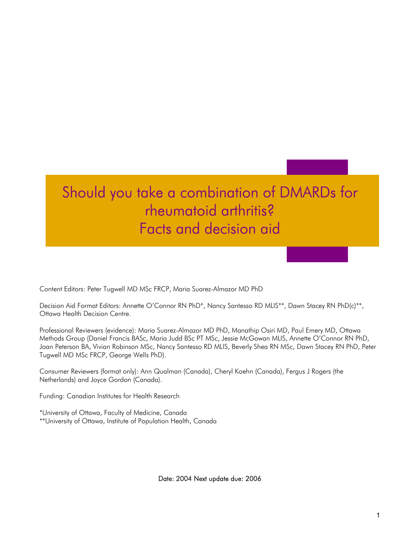# Should you take a combination of DMARDs for rheumatoid arthritis? Facts and decision aid

Content Editors: Peter Tugwell MD MSc FRCP, Maria Suarez-Almazor MD PhD

Decision Aid Format Editors: Annette O'Connor RN PhD<sup>\*</sup>, Nancy Santesso RD MLIS<sup>\*\*</sup>, Dawn Stacey RN PhD(c)<sup>\*\*</sup>, Ottawa Health Decision Centre.

Professional Reviewers (evidence): Maria Suarez-Almazor MD PhD, Manathip Osiri MD, Paul Emery MD, Ottawa Methods Group (Daniel Francis BASc, Maria Judd BSc PT MSc, Jessie McGowan MLIS, Annette O'Connor RN PhD, Joan Peterson BA, Vivian Robinson MSc, Nancy Santesso RD MLIS, Beverly Shea RN MSc, Dawn Stacey RN PhD, Peter Tugwell MD MSc FRCP, George Wells PhD).

Consumer Reviewers (format only): Ann Qualman (Canada), Cheryl Koehn (Canada), Fergus J Rogers (the Netherlands) and Joyce Gordon (Canada).

Funding: Canadian Institutes for Health Research

\*University of Ottawa, Faculty of Medicine, Canada \*\*University of Ottawa, Institute of Population Health, Canada

Date: 2004 Next update due: 2006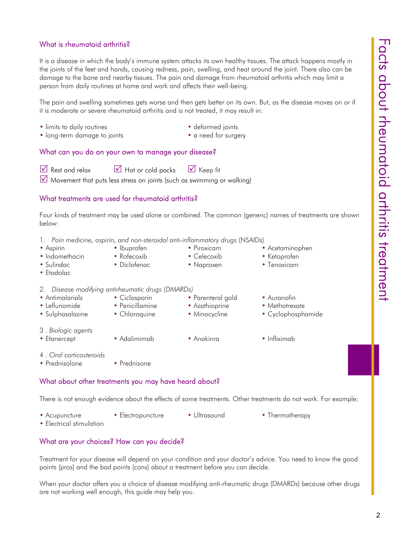#### What is rheumatoid arthritis?

It is a disease in which the body's immune system attacks its own healthy tissues. The attack happens mostly in the joints of the feet and hands, causing redness, pain, swelling, and heat around the joint. There also can be damage to the bone and nearby tissues. The pain and damage from rheumatoid arthritis which may limit a person from daily routines at home and work and affects their well-being.

The pain and swelling sometimes gets worse and then gets better on its own. But, as the disease moves on or if it is moderate or severe rheumatoid arthritis and is not treated, it may result in:

- limits to daily routines deformed joints
- 

• long-term damage to joints • a need for surgery

#### What can you do on your own to manage your disease?

 $\boxtimes$  Rest and relax  $\boxtimes$  Hot or cold packs  $\boxtimes$  Keep fit

 $\triangledown$  Movement that puts less stress on joints (such as swimming or walking)

#### What treatments are used for rheumatoid arthritis?

Four kinds of treatment may be used alone or combined. The common (generic) names of treatments are shown below:

- 1. *Pain medicine, aspirin, and non-steroidal anti-inflammatory drugs* (NSAIDs)
- Aspirin Ibuprofen Piroxicam Acetaminophen
- Indomethacin Rofecoxib Celecoxib Ketoprofen
- Sulindac Diclofenac Naproxen Tenoxicam
- Etodolac
- *2. Disease modifying antirheumatic drugs (DMARDs)*
- Antimalarials Ciclosporin Parenteral gold Auranofin
- Leflunomide Penicillamine Azathioprine Methotrexate
- Sulphasalazine Chloroquine Minocycline Cyclophosphamide
- 3 . *Biologic agents*
- Etanercept Adalimimab Anakinra Infliximab
- 4 . *Oral corticosteroids*
- Prednisolone Prednisone

#### What about other treatments you may have heard about?

There is not enough evidence about the effects of some treatments. Other treatments do not work. For example:

- Acupuncture Electropuncture Ultrasound Thermotherapy
- Electrical stimulation

#### What are your choices? How can you decide?

Treatment for your disease will depend on your condition and your doctor's advice. You need to know the good points (pros) and the bad points (cons) about a treatment before you can decide.

When your doctor offers you a choice of disease modifying anti-rheumatic drugs (DMARDs) because other drugs are not working well enough, this guide may help you.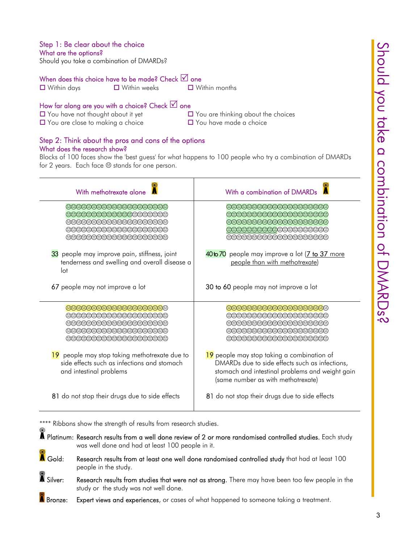### Step 1: Be clear about the choice

What are the options?

Should you take a combination of DMARDs?

#### When does this choice have to be made? Check  $\boxtimes$  one

**□** Within days **□** Within weeks □ Within months

#### How far along are you with a choice? Check  $\Box$  one

 $\Box$  You are close to making a choice  $\Box$  You have made a choice

 $\Box$  You have not thought about it yet  $\Box$  You are thinking about the choices

### Step 2: Think about the pros and cons of the options What does the research show?

Blocks of 100 faces show the 'best guess' for what happens to 100 people who try a combination of DMARDs for 2 years. Each face  $\oplus$  stands for one person.

| With methotrexate alone                                                                                                 | With a combination of DMARDs                                                                                                                                                          |
|-------------------------------------------------------------------------------------------------------------------------|---------------------------------------------------------------------------------------------------------------------------------------------------------------------------------------|
| 000000000000000000<br>@@@@@@@@@@@@@@@@@<br>@@@@@@@@@@@@@@@@@<br>@@@@@@@@@@@@@@@@@<br>000000000000000000                 | 000000000000000000<br>00000000000000000000<br>@@@@@@@@@@@@@@@@@<br>000000000000000000<br>000000000000000000                                                                           |
| 33 people may improve pain, stiffness, joint<br>tenderness and swelling and overall disease a<br>lot                    | 40to 70 people may improve a lot (7 to 37 more<br>people than with methotrexate)                                                                                                      |
| 67 people may not improve a lot                                                                                         | 30 to 60 people may not improve a lot                                                                                                                                                 |
| @@@@@@@@@@@@@@@@<br>000000000000000000<br>(200000000000000000000<br>099999999999999999999<br>@@@@@@@@@@@@@@@@@          | @@@@@@@@@@@@@@@@<br>@@@@@@@@@@@@@@@@@<br>(988999888899999888999<br>@@@@@@@@@@@@@@@@@<br>@@@@@@@@@@@@@@@@@                                                                             |
| 19 people may stop taking methotrexate due to<br>side effects such as infections and stomach<br>and intestinal problems | 19 people may stop taking a combination of<br>DMARDs due to side effects such as infections,<br>stomach and intestinal problems and weight gain<br>(same number as with methotrexate) |
| 81 do not stop their drugs due to side effects                                                                          | 81 do not stop their drugs due to side effects                                                                                                                                        |

\*\*\*\* Ribbons show the strength of results from research studies.

 $\spadesuit$  Platinum: Research results from a well done review of 2 or more randomised controlled studies. Each study was well done and had at least 100 people in it.  $\tilde{\blacktriangle}$  Gold: Research results from at least one well done randomised controlled study that had at least 100 people in the study.  $\bullet$  Silver: Research results from studies that were not as strong. There may have been too few people in the study or the study was not well done. **A** Bronze: Expert views and experiences, or cases of what happened to someone taking a treatment.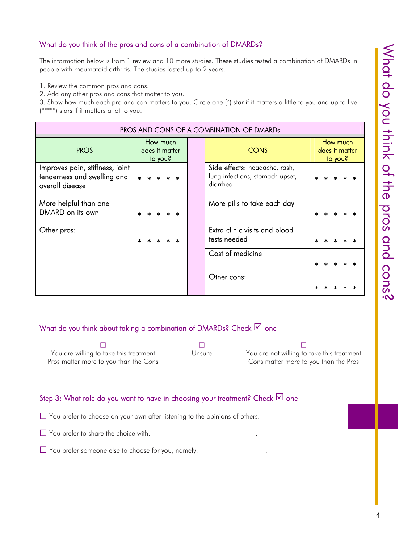#### What do you think of the pros and cons of a combination of DMARDs?

The information below is from 1 review and 10 more studies. These studies tested a combination of DMARDs in people with rheumatoid arthritis. The studies lasted up to 2 years.

1. Review the common pros and cons.

2. Add any other pros and cons that matter to you.

3. Show how much each pro and con matters to you. Circle one (\*) star if it matters a little to you and up to five (\*\*\*\*\*) stars if it matters a lot to you.

| PROS AND CONS OF A COMBINATION OF DMARDS                                          |                                       |  |                                                                              |                                       |  |  |  |  |
|-----------------------------------------------------------------------------------|---------------------------------------|--|------------------------------------------------------------------------------|---------------------------------------|--|--|--|--|
| <b>PROS</b>                                                                       | How much<br>does it matter<br>to you? |  | <b>CONS</b>                                                                  | How much<br>does it matter<br>to you? |  |  |  |  |
| Improves pain, stiffness, joint<br>tenderness and swelling and<br>overall disease | $\star$                               |  | Side effects: headache, rash,<br>lung infections, stomach upset,<br>diarrhea |                                       |  |  |  |  |
| More helpful than one<br>DMARD on its own                                         |                                       |  | More pills to take each day                                                  |                                       |  |  |  |  |
| Other pros:                                                                       |                                       |  | Extra clinic visits and blood<br>tests needed                                |                                       |  |  |  |  |
|                                                                                   |                                       |  | Cost of medicine                                                             |                                       |  |  |  |  |
|                                                                                   |                                       |  | Other cons:                                                                  |                                       |  |  |  |  |

#### What do you think about taking a combination of DMARDs? Check  $\boxtimes$  one

20 September 20 September 20 September 20 September 20 September 20 September 20 September 20 September 20 Sep You are willing to take this treatment Pros matter more to you than the Cons Unsure You are not willing to take this treatment Cons matter more to you than the Pros

#### Step 3: What role do you want to have in choosing your treatment? Check  $\boxtimes$  one

 $\Box$  You prefer to choose on your own after listening to the opinions of others.

 $\Box$  You prefer to share the choice with:

 $\Box$  You prefer someone else to choose for you, namely: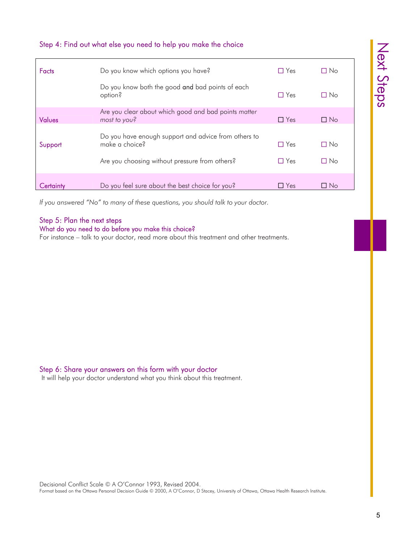|               | Step 4: Find out what else you need to help you make the choice                                                          |                          |                        | Next  |
|---------------|--------------------------------------------------------------------------------------------------------------------------|--------------------------|------------------------|-------|
| <b>Facts</b>  | Do you know which options you have?                                                                                      | $\Box$ Yes               | $\Box$ No              |       |
|               | Do you know both the good and bad points of each<br>option?                                                              | $\Box$ Yes               | $\Box$ No              | Sqeps |
| <b>Values</b> | Are you clear about which good and bad points matter<br>most to you?                                                     | $\Box$ Yes               | $\Box$ No              |       |
| Support       | Do you have enough support and advice from others to<br>make a choice?<br>Are you choosing without pressure from others? | $\Box$ Yes<br>$\Box$ Yes | $\Box$ No<br>$\Box$ No |       |
| Certainty     | Do you feel sure about the best choice for you?                                                                          | $\Box$ Yes               | $\Box$ No              |       |

*If you answered "No" to many of these questions, you should talk to your doctor.*

### Step 5: Plan the next steps

#### What do you need to do before you make this choice?

For instance – talk to your doctor, read more about this treatment and other treatments.

#### Step 6: Share your answers on this form with your doctor

It will help your doctor understand what you think about this treatment.

Decisional Conflict Scale © A O'Connor 1993, Revised 2004. Format based on the Ottawa Personal Decision Guide © 2000, A O'Connor, D Stacey, University of Ottawa, Ottawa Health Research Institute.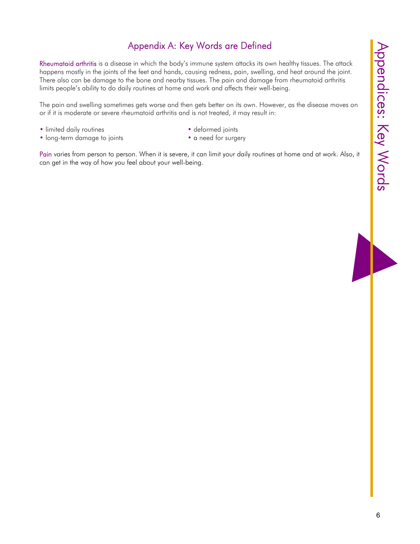# Appendix A: Key Words are Defined

Rheumatoid arthritis is a disease in which the body's immune system attacks its own healthy tissues. The attack happens mostly in the joints of the feet and hands, causing redness, pain, swelling, and heat around the joint. There also can be damage to the bone and nearby tissues. The pain and damage from rheumatoid arthritis limits people's ability to do daily routines at home and work and affects their well-being.

The pain and swelling sometimes gets worse and then gets better on its own. However, as the disease moves on or if it is moderate or severe rheumatoid arthritis and is not treated, it may result in:

- limited daily routines deformed joints
- long-term damage to joints a need for surgery
- -

Pain varies from person to person. When it is severe, it can limit your daily routines at home and at work. Also, it can get in the way of how you feel about your well-being.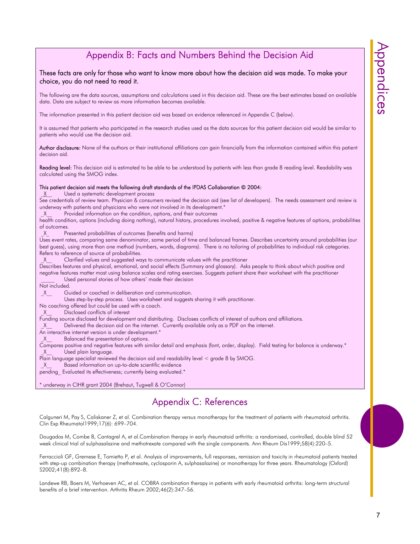## Appendix B: Facts and Numbers Behind the Decision Aid

#### These facts are only for those who want to know more about how the decision aid was made. To make your choice, you do not need to read it.

The following are the data sources, assumptions and calculations used in this decision aid. These are the best estimates based on available data. Data are subject to review as more information becomes available.

The information presented in this patient decision aid was based on evidence referenced in Appendix C (below).

It is assumed that patients who participated in the research studies used as the data sources for this patient decision aid would be similar to patients who would use the decision aid.

Author disclosure: None of the authors or their institutional affiliations can gain financially from the information contained within this patient decision aid.

Reading level: This decision aid is estimated to be able to be understood by patients with less than grade 8 reading level. Readability was calculated using the SMOG index.

#### This patient decision aid meets the following draft standards of the IPDAS Collaboration © 2004:

X Used a systematic development process

See credentials of review team. Physician & consumers revised the decision aid (see list of developers). The needs assessment and review is underway with patients and physicians who were not involved in its development.\*

X Provided information on the condition, options, and their outcomes

health condition, options (including doing nothing), natural history, procedures involved, positive & negative features of options, probabilities of outcomes.

X Presented probabilities of outcomes (benefits and harms)

Uses event rates, comparing same denominator, same period of time and balanced frames. Describes uncertainty around probabilities (our best guess), using more than one method (numbers, words, diagrams). There is no tailoring of probabilities to individual risk categories. Refers to reference of source of probabilities.

X Clarified values and suggested ways to communicate values with the practitioner

Describes features and physical, emotional, and social effects (Summary and glossary). Asks people to think about which positive and negative features matter most using balance scales and rating exercises. Suggests patient share their worksheet with the practitioner Used personal stories of how others' made their decision

Not included.

X Guided or coached in deliberation and communication.

Uses step-by-step process. Uses worksheet and suggests sharing it with practitioner.

No coaching offered but could be used with a coach.

\_X\_\_ Disclosed conflicts of interest

Funding source disclosed for development and distributing. Discloses conflicts of interest of authors and affiliations.

 $X$  Delivered the decision aid on the internet. Currently available only as a PDF on the internet.

An interactive internet version is under development.<sup>\*</sup>

X Balanced the presentation of options.

Compares positive and negative features with similar detail and emphasis (font, order, display). Field testing for balance is underway.\* X Used plain language.

Plain language specialist reviewed the decision aid and readability level < grade 8 by SMOG.

X Based information on up-to-date scientific evidence

pending Evaluated its effectiveness; currently being evaluated.\*

\* underway in CIHR grant 2004 (Brehaut, Tugwell & O'Connor)

### Appendix C: References

Calguneri M, Pay S, Caliskaner Z, et al. Combination therapy versus monotherapy for the treatment of patients with rheumatoid arthritis. Clin Exp Rheumatol1999;17(6): 699–704.

Dougados M, Combe B, Cantagrel A, et al.Combination therapy in early rheumatoid arthritis: a randomised, controlled, double blind 52 week clinical trial of sulphasalazine and methotrexate compared with the single components. Ann Rheum Dis1999;58(4):220–5.

Ferraccioli GF, Gremese E, Tomietto P, et al. Analysis of improvements, full responses, remission and toxicity in rheumatoid patients treated with step-up combination therapy (methotrexate, cyclosporin A, sulphasalazine) or monotherapy for three years. Rheumatology (Oxford) S2002;41(8):892–8.

Landewe RB, Boers M, Verhoeven AC, et al. COBRA combination therapy in patients with early rheumatoid arthritis: long-term structural benefits of a brief intervention. Arthritis Rheum 2002;46(2):347–56.